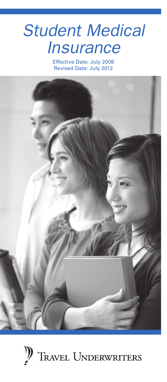# *Student Medical Insurance*

Effective Date: July 2008 Revised Date: July 2012



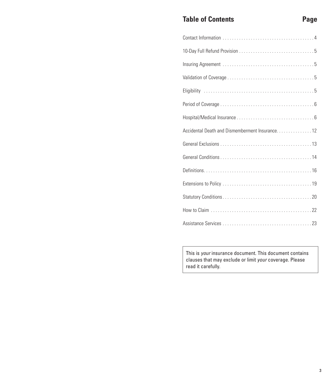# **Table of Contents Page**

| Accidental Death and Dismemberment Insurance. 12 |
|--------------------------------------------------|
|                                                  |
|                                                  |
|                                                  |
|                                                  |
|                                                  |
|                                                  |
|                                                  |

This is *your* insurance document. This document contains clauses that may exclude or limit *your* coverage. Please read it carefully.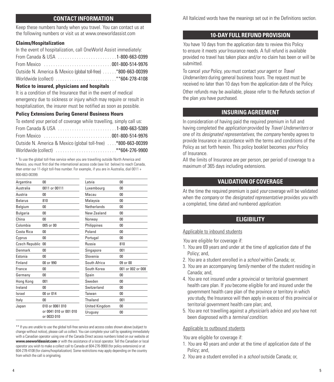#### **CONTACT INFORMATION**

<span id="page-2-0"></span>Keep these numbers handy when you travel. You can contact us at the following numbers or visit us at www.oneworldassist.com

#### **Claims/Hospitalization**

| In the event of hospitalization, call OneWorld Assist immediately: |
|--------------------------------------------------------------------|
| From Canada & USA 1-800-663-0399                                   |
|                                                                    |
| Outside N. America & Mexico (global toll-free) *800-663-00399      |
|                                                                    |

#### **Notice to insured, physicians and hospitals**

It is a condition of the Insurance that in the event of medical emergency due to sickness or injury which may require or result in hospitalization, the insurer must be notified as soon as possible.

#### **Policy Extensions During General Business Hours**

To extend your period of coverage while travelling, simply call us:

| From Canada & USA 1-800-663-5389                               |  |
|----------------------------------------------------------------|--|
|                                                                |  |
| Outside N. America & Mexico (global toll-free)  *800-663-00399 |  |
|                                                                |  |

\* To use the global toll-free service when you are travelling outside North America and Mexico, you must first dial the international access code (see list below) to reach Canada, then enter our 11-digit toll-free number. For example, if you are in Australia, dial 0011 + 800-663-00399.

| Argentina       | 00                                    | Latvia                | 0 <sub>0</sub>    |
|-----------------|---------------------------------------|-----------------------|-------------------|
| Australia       | 0011 or 00111                         | Luxembourg            | 0 <sub>0</sub>    |
| Austria         | 00                                    | Macau                 | 00                |
| <b>Belarus</b>  | 810                                   | Malaysia              | 00                |
| Belgium         | 00                                    | Netherlands           | 00                |
| <b>Bulgaria</b> | 00                                    | New Zealand           | 00                |
| China           | 00                                    | Norway                | 00                |
| Colombia        | 005 or 00                             | Philippines           | 00                |
| Costa Rica      | 00                                    | Poland                | 00                |
| Cyprus          | 00                                    | Portugal              | 00                |
| Czech Republic  | 00                                    | Russia                | 810               |
| Denmark         | 00                                    | Singapore             | 001               |
| Estonia         | 00                                    | Slovenia              | 00                |
| Finland         | 00 or 990                             | South Africa          | 09 or 00          |
| France          | 00                                    | South Korea           | 001 or 002 or 008 |
| Germany         | 00                                    | Spain                 | 0 <sub>0</sub>    |
| Hong Kong       | 001                                   | Sweden                | 00                |
| Ireland         | 00                                    | Switzerland           | 00                |
| Israel          | 00 or 014                             | Taiwan                | 00                |
| Italy           | 00                                    | Thailand              | 001               |
| Japan           | 010 or 0061 010                       | <b>United Kingdom</b> | 00                |
|                 | or 0041 010 or 001 010<br>or 0033 010 | Uruguay               | 00                |

\*\* If you are unable to use the global toll-free service and access codes shown above (subject to change without notice), please call us collect. You can complete your call by speaking immediately with a Canadian operator using one of the Canada Direct access numbers listed on our website at **www.oneworldassist.com** or with the assistance of a local operator. Tell the Canadian or local operator you wish to make a collect call to Canada at 604-276-9900 (for policy extensions) or at 604-278-4108 (for claims/hospitalization). Some restrictions may apply depending on the country from which the call is originating.

All Italicized words have the meanings set out in the Definitions section.

#### **10-DAY FULL REFUND PROVISION**

*You* have 10 days from the application date to review this Policy to ensure it meets *your* Insurance needs. A full refund is available provided no travel has taken place and/or no claim has been or will be submitted.

To cancel *your* Policy, *you* must contact *your* agent or *Travel Underwriters* during general business hours. The request must be received no later than 10 days from the application date of the Policy.

Other refunds may be available, please refer to the Refunds section of the plan *you* have purchased.

# **INSURING AGREEMENT**

In consideration of having paid the required premium in full and having completed the *application* provided by *Travel Underwriters* or one of its *designated representatives*, the *company* hereby agrees to provide Insurance in accordance with the terms and conditions of the Policy as set forth herein. This policy booklet becomes *your* Policy of Insurance.

All the limits of Insurance are per person, per period of coverage to a maximum of 365 days including extensions.

# **VALIDATION OF COVERAGE**

At the time the required premium is paid *your* coverage will be validated when the *company* or the *designated representative* provides *you* with a completed, time dated and numbered *application*.

#### **ELIGIBILITY**

#### Applicable to inbound students

*You* are eligible for coverage if:

- 1. *You* are 69 years and under at the time of application date of the Policy; and,
- 2. *You* are a student enrolled in a *school* within Canada; or,
- 3. *You* are an accompanying *family* member of the student residing in Canada; and,
- 4. *You* are not insured under a provincial or territorial government health care plan. If *you* become eligible for and insured under the government health care plan of the province or territory in which *you* study, the Insurance will then apply in excess of this provincial or territorial government health care plan; and,
- 5. *You* are not travelling against a *physician*'s advice and *you* have not been diagnosed with a *terminal condition*.

#### Applicable to outbound students

*You* are eligible for coverage if:

- 1. *You* are 40 years and under at the time of application date of the Policy; and,
- 2. *You* are a student enrolled in a *school* outside Canada; or,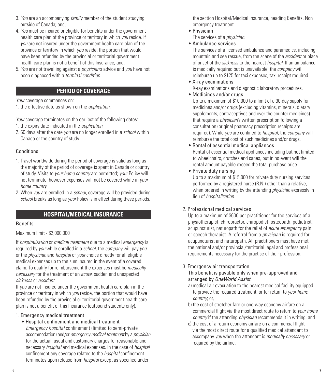- <span id="page-3-0"></span>3. *You* are an accompanying *family* member of the student studying outside of Canada; and,
- 4. *You* must be insured or eligible for benefits under the government health care plan of the province or territory in which *you* reside. If *you* are not insured under the government health care plan of the province or territory in which *you* reside, the portion that would have been refunded by the provincial or territorial government health care plan is not a benefit of this Insurance; and,
- 5. *You* are not travelling against a *physician*'s advice and *you* have not been diagnosed with a *terminal condition*.

# **PERIOD OF COVERAGE**

*Your* coverage commences on:

1. the effective date as shown on the *application*.

*Your* coverage terminates on the earliest of the following dates:

- 1. the expiry date indicated in the *application*;
- 2. 60 days after the date *you* are no longer enrolled in a *school* within Canada or the country of study.

# **Conditions**

- 1. Travel worldwide during the period of coverage is valid as long as the majority of the period of coverage is spent in Canada or country of study. Visits to *your home country* are permitted; *your* Policy will not terminate, however expenses will not be covered while in *your home country*.
- 2. When *you* are enrolled in a *school*, coverage will be provided during *school* breaks as long as *your* Policy is in effect during these periods.

# **HOSPITAL/MEDICAL INSURANCE**

# Benefits

# Maximum limit - \$2,000,000

If *hospitalization* or *medical treatment* due to a medical *emergency* is required by *you* while enrolled in a *school*, the *company* will pay *you* or the *physician* and *hospital* of *your* choice directly for all eligible medical expenses up to the sum insured in the event of a covered claim. To qualify for reimbursement the expenses must be *medically necessary* for the treatment of an *acute*, sudden and unexpected *sickness* or *accident*.

If *you* are not insured under the government health care plan in the province or territory in which *you* reside, the portion that would have been refunded by the provincial or territorial government health care plan is not a benefit of this Insurance (outbound students only).

# 1. Emergency medical treatment

• Hospital confinement and medical treatment *Emergency hospital* confinement (limited to semi-private accommodation) and/or *emergency medical treatment* by a *physician* for the actual, usual and customary charges for reasonable and

necessary *hospital* and medical expenses. In the case of *hospital* confinement any coverage related to the *hospital* confinement terminates upon release from *hospital* except as specified under

the section Hospital/Medical Insurance, heading Benefits, Non emergency treatment.

• Physician

The services of a *physician*.

# • Ambulance services

 The services of a licensed ambulance and paramedics, including mountain and sea rescue, from the scene of the *accident* or place of onset of the *sickness* to the nearest *hospital*. If an ambulance is medically required but is unavailable, the *company* will reimburse up to \$125 for taxi expenses, taxi receipt required.

- X-ray examinations X-ray examinations and diagnostic laboratory procedures.
- Medicines and/or drugs

 Up to a maximum of \$10,000 to a limit of a 30-day supply for medicines and/or drugs (excluding vitamins, minerals, dietary supplements, contraceptives and over the counter medicines) that require a *physician*'s written prescription following a consultation (original pharmacy prescription receipts are required). While *you* are confined to *hospital*, the *company* will reimburse the total cost of such medicines and/or drugs.

- Rental of essential medical appliances Rental of essential medical appliances including but not limited to wheelchairs, crutches and canes, but in no event will the rental amount payable exceed the total purchase price.
- Private duty nursing

 Up to a maximum of \$15,000 for private duty nursing services performed by a registered nurse (R.N.) other than a relative, when ordered in writing by the attending *physician* expressly in lieu of *hospitalization*.

# 2. Professional medical services

 Up to a maximum of \$600 per practitioner for the services of a physiotherapist, chiropractor, chiropodist, osteopath, podiatrist, acupuncturist, naturopath for the relief of *acute emergency* pain or speech therapist. A referral from a *physician* is required for acupuncturist and naturopath. All practitioners must have met the national and/or provincial/territorial legal and professional requirements necessary for the practise of their profession.

#### 3. Emergency air transportation

 This benefit is payable only when pre-approved and arranged by *OneWorld Assist*

- a) medical air evacuation to the nearest medical facility equipped to provide the required treatment, or for return to *your home country*; or,
- b) the cost of stretcher fare or one-way economy airfare on a commercial flight via the most direct route to return to *your home country* if the attending *physician* recommends it in writing, and
- c) the cost of a return economy airfare on a commercial flight via the most direct route for a qualified medical attendant to accompany *you* when the attendant is *medically necessary* or required by the airline.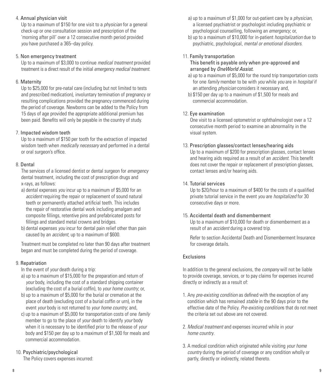#### 4. Annual physician visit

 Up to a maximum of \$150 for one visit to a *physician* for a general check-up or one consultation session and prescription of the 'morning after pill' over a 12 consecutive month period provided *you* have purchased a 365–day policy.

#### 5. Non emergency treatment

 Up to a maximum of \$3,000 to continue *medical treatment* provided treatment is a direct result of the initial *emergency medical treatment*.

# 6. Maternity

Up to \$25,000 for pre-natal care (including but not limited to tests and prescribed medication), involuntary termination of pregnancy or resulting complications provided the pregnancy commenced during the period of coverage. Newborns can be added to the Policy from 15 days of age provided the appropriate additional premium has been paid. Benefits will only be payable in the country of study.

# 7. Impacted wisdom teeth

 Up to a maximum of \$150 per tooth for the extraction of impacted wisdom teeth when *medically necessary* and performed in a dental or oral surgeon's office.

# 8. Dental

 The services of a licensed dentist or dental surgeon for *emergency* dental treatment, including the cost of prescription drugs and x-rays, as follows:

- a) dental expenses *you* incur up to a maximum of \$5,000 for an *accident* requiring the repair or replacement of sound natural teeth or permanently attached artificial teeth. This includes the repair of restorative dental work including amalgam and composite fillings, retentive pins and prefabricated posts for fillings and standard metal crowns and bridges.
- b) dental expenses *you* incur for dental pain relief other than pain caused by an *accident*, up to a maximum of \$600.

 Treatment must be completed no later than 90 days after treatment began and must be completed during the period of coverage.

# 9. Repatriation

In the event of *your* death during a trip:

- a) up to a maximum of \$15,000 for the preparation and return of *your* body, including the cost of a standard shipping container (excluding the cost of a burial coffin), to *your home country*; or,
- b) up to a maximum of \$5,000 for the burial or cremation at the place of death (excluding cost of a burial coffin or urn), in the event *your* body is not returned to *your home country*; and,
- c) up to a maximum of \$5,000 for transportation costs of one *family* member to go to the place of *your* death to identify *your* body when it is necessary to be identified prior to the release of *your* body and \$150 per day up to a maximum of \$1,500 for meals and commercial accommodation.

# 10. Psychiatric/psychological

The Policy covers expenses incurred:

- a) up to a maximum of \$1,000 for out-patient care by a *physician*, a licensed psychiatrist or psychologist including psychiatric or psychological counselling, following an *emergency*; or,
- b) up to a maximum of \$10,000 for in-patient *hospitalization* due to psychiatric, psychological, *mental or emotional disorders*.

# 11. Family transportation

 This benefit is payable only when pre-approved and arranged by *OneWorld Assist*.

- a) up to a maximum of \$5,000 for the round trip transportation costs for one *family* member to be with *you* while *you* are in *hospital* if an attending *physician* considers it necessary and,
- b) \$150 per day up to a maximum of \$1,500 for meals and commercial accommodation.

#### 12. Eye examination

 One visit to a licensed optometrist or ophthalmologist over a 12 consecutive month period to examine an abnormality in the visual system.

# 13. Prescription glasses/contact lenses/hearing aids

 Up to a maximum of \$200 for prescription glasses, contact lenses and hearing aids required as a result of an *accident.* This benefit does not cover the repair or replacement of prescription glasses, contact lenses and/or hearing aids.

#### 14. Tutorial services

 Up to \$20/hour to a maximum of \$400 for the costs of a qualified private tutorial service in the event *you* are *hospitalized* for 30 consecutive days or more.

#### 15. Accidental death and dismemberment

 Up to a maximum of \$10,000 for death or dismemberment as a result of an *accident* during a covered trip.

 Refer to section Accidental Death and Dismemberment Insurance for coverage details.

#### Exclusions

In addition to the general exclusions, the *company* will not be liable to provide coverage, services, or to pay claims for expenses incurred directly or indirectly as a result of:

- 1. Any *pre-existing condition* as defined with the exception of any condition which has remained *stable* in the 90 days prior to the effective date of the Policy. *Pre-existing condition*s that do not meet the criteria set out above are not covered.
- 2. *Medical treatment* and expenses incurred while in *your home country*.
- 3. A medical condition which originated while visiting *your home country* during the period of coverage or any condition wholly or partly, directly or indirectly, related thereto.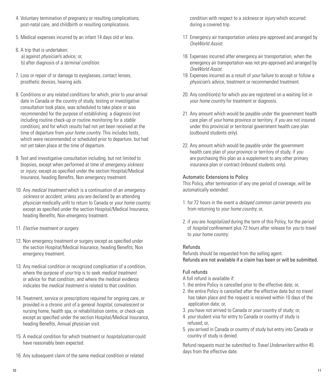- 4. Voluntary termination of pregnancy or resulting complications; post-natal care, and childbirth or resulting complications.
- 5. Medical expenses incurred by an infant 14 days old or less.
- 6. A trip that is undertaken: a) against *physician*'s advice; or, b) after diagnosis of a *terminal condition*.
- 7. Loss or repair of or damage to eyeglasses, contact lenses, prosthetic devices, hearing aids.
- 8. Conditions or any related conditions for which, prior to *your* arrival date in Canada or the country of study, testing or investigative consultation took place, was scheduled to take place or was recommended for the purpose of establishing a diagnosis (not including routine check-up or routine monitoring for a *stable* condition), and for which results had not yet been received at the time of departure from *your home country*. This includes tests, which were recommended or scheduled prior to departure, but had not yet taken place at the time of departure.
- 9. Test and investigative consultation including, but not limited to biopsies, except when performed at time of *emergency sickness* or *injury*; except as specified under the section Hospital/Medical Insurance, heading Benefits, Non emergency treatment.
- 10. Any *medical treatment* which is a continuation of an *emergency sickness* or *accident*, unless *you* are declared by an attending *physician* medically unfit to return to Canada or *your home country*; except as specified under the section Hospital/Medical Insurance, heading Benefits, Non emergency treatment.
- 11. *Elective treatment or surgery*.
- 12. Non emergency treatment or surgery except as specified under the section Hospital/Medical Insurance, heading Benefits, Non emergency treatment.
- 13. Any medical condition or recognized complication of a condition, where the purpose of *your* trip is to seek *medical treatment* or advice for that condition, and where the medical evidence indicates the *medical treatment* is related to that condition.
- 14. Treatment, service or prescriptions required for ongoing care, or provided in a chronic unit of a general *hospital*, convalescent or nursing home, health spa, or rehabilitation centre, or check-ups except as specified under the section Hospital/Medical Insurance, heading Benefits, Annual physician visit.
- 15. A medical condition for which treatment or *hospitalization* could have reasonably been expected.
- 16. Any subsequent claim of the same medical condition or related

condition with respect to a *sickness* or *injury* which occurred during a covered trip.

- 17. Emergency air transportation unless pre-approved and arranged by *OneWorld Assist*.
- 18. Expenses incurred after emergency air transportation, when the emergency air transportation was not pre-approved and arranged by *OneWorld Assist*.
- 19. Expenses incurred as a result of *your* failure to accept or follow a *physician*'s advice, treatment or recommended treatment.
- 20. Any condition(s) for which *you* are registered on a waiting list in *your home country* for treatment or diagnosis.
- 21. Any amount which would be payable under the government health care plan of *your* home province or territory, if *you* are not insured under this provincial or territorial government health care plan (outbound students only).
- 22. Any amount which would be payable under the government health care plan of *your* province or territory of study, if *you* are purchasing this plan as a supplement to any other primary insurance plan or contract (inbound students only).

#### Automatic Extensions to Policy

This Policy, after termination of any one period of coverage, will be automatically extended:

- 1. for 72 hours in the event a *delayed common carrier* prevents *you* from returning to *your home country*; or,
- 2. if *you* are *hospitalized* during the term of this Policy, for the period of *hospital* confinement plus 72 hours after release for *you* to travel to *your home country*.

#### Refunds

Refunds should be requested from the selling agent. Refunds are not available if a claim has been or will be submitted.

#### Full refunds

- A full refund is available if:
- 1. the entire Policy is cancelled prior to the effective date; or,
- 2. the entire Policy is cancelled after the effective date but no travel has taken place and the request is received within 10 days of the application date; or,
- 3. *you* have not arrived to Canada or *your* country of study; or,
- 4. *your* student visa for entry to Canada or country of study is refused; or,
- 5. *you* arrived in Canada or country of study but entry into Canada or country of study is denied.

Refund requests must be submitted to *Travel Underwriters* within 45 days from the effective date.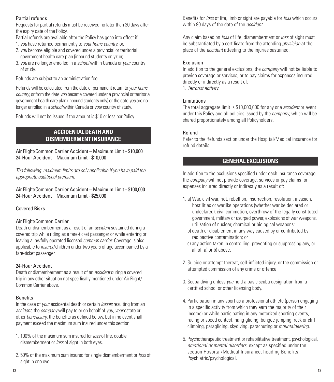#### <span id="page-6-0"></span>Partial refunds

Requests for partial refunds must be received no later than 30 days after the expiry date of the Policy.

Partial refunds are available after the Policy has gone into effect if:

- 1.*you* have returned permanently to *your home country*; or,
- 2.*you* become eligible and covered under a provincial or territorial government health care plan (inbound students only); or,
- 3.*you* are no longer enrolled in a *school* within Canada or *your* country of study.

Refunds are subject to an administration fee.

Refunds will be calculated from the date of permanent return to *your home country*, or from the date *you* became covered under a provincial or territorial government health care plan (inbound students only) or the date *you* are no longer enrolled in a *school* within Canada or *your* country of study.

Refunds will not be issued if the amount is \$10 or less per Policy.

# **ACCIDENTAL DEATH AND DISMEMBERMENT INSURANCE**

Air Flight/Common Carrier Accident – Maximum Limit - \$10,000 24-Hour Accident – Maximum Limit - \$10,000

*The following maximum limits are only applicable if you have paid the appropriate additional premium.*

Air Flight/Common Carrier Accident – Maximum Limit - \$100,000 24-Hour Accident – Maximum Limit - \$25,000

Covered Risks

# Air Flight/Common Carrier

Death or dismemberment as a result of an *accident* sustained during a covered trip while riding as a fare-ticket passenger or while entering or leaving a lawfully operated licensed *common carrier*. Coverage is also applicable to *insured* children under two years of age accompanied by a fare-ticket passenger.

# 24-Hour Accident

Death or dismemberment as a result of an *accident* during a covered trip in any other situation not specifically mentioned under Air Flight/ Common Carrier above.

# Benefits

In the case of *your* accidental death or certain *losses* resulting from an *accident*, the *company* will pay to or on behalf of *you*, *your* estate or other *beneficiary*, the benefits as defined below, but in no event shall payment exceed the maximum sum insured under this section:

- 1. 100% of the maximum sum insured for *loss* of life, double dismemberment or *loss* of sight in both eyes.
- 2. 50% of the maximum sum insured for single dismemberment or *loss* of sight in one eye.

Benefits for *loss* of life, limb or sight are payable for *loss* which occurs within 90 days of the date of the *accident*.

Any claim based on *loss* of life, dismemberment or *loss* of sight must be substantiated by a certificate from the attending *physician* at the place of the *accident* attesting to the injuries sustained.

# **Exclusion**

In addition to the general exclusions, the *company* will not be liable to provide coverage or services, or to pay claims for expenses incurred directly or indirectly as a result of:

1. *Terrorist activity*.

# Limitations

The total aggregate limit is \$10,000,000 for any one *accident* or event under this Policy and all policies issued by the *company*, which will be shared proportionately among all Policyholders.

#### Refund

Refer to the Refunds section under the Hospital/Medical insurance for refund details.

# **GENERAL EXCLUSIONS**

In addition to the exclusions specified under each Insurance coverage, the *company* will not provide coverage, services or pay claims for expenses incurred directly or indirectly as a result of:

- 1. a) War, civil war, riot, rebellion, insurrection, revolution, invasion, hostilities or warlike operations (whether war be declared or undeclared), civil commotion, overthrow of the legally constituted government, military or usurped power, explosions of war weapons, utilization of nuclear, chemical or biological weapons;
	- b) death or disablement in any way caused by or contributed by radioactive contamination; or
	- c) any action taken in controlling, preventing or suppressing any, or all of a) or b) above.
- 2. Suicide or attempt thereat, self-inflicted injury, or the commission or attempted commission of any crime or offence.
- 3. Scuba diving unless *you* hold a basic scuba designation from a certified school or other licensing body.
- 4. Participation in any sport as a professional athlete (person engaging in a specific activity from which they earn the majority of their income) or while participating in any motorized sporting events, racing or speed contest, hang-gliding, bungee jumping, rock or cliff climbing, paragliding, skydiving, parachuting or *mountaineering*.
- 5. Psychotherapeutic treatment or rehabilitative treatment, psychological, *emotional or mental disorders*, except as specified under the section Hospital/Medical Insurance, heading Benefits, Psychiatric/psychological.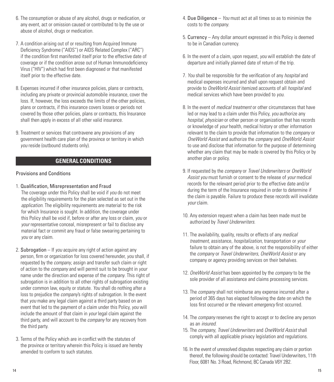- <span id="page-7-0"></span>6. The consumption or abuse of any alcohol, drugs or medication, or any event, act or omission caused or contributed to by the use or abuse of alcohol, drugs or medication.
- 7. A condition arising out of or resulting from Acquired Immune Deficiency Syndrome ("AIDS") or AIDS Related Complex ("ARC") if the condition first manifested itself prior to the effective date of coverage or if the condition arose out of Human Immunodeficiency Virus ("HIV") which had first been diagnosed or that manifested itself prior to the effective date.
- 8. Expenses incurred if other insurance policies, plans or contracts, including any private or provincial automobile insurance, cover the loss. If, however, the loss exceeds the limits of the other policies, plans or contracts, if this insurance covers losses or periods not covered by those other policies, plans or contracts, this Insurance shall then apply in excess of all other valid insurance.
- 9. Treatment or services that contravene any provisions of any government health care plan of the province or territory in which *you* reside (outbound students only).

# **GENERAL CONDITIONS**

#### Provisions and Conditions

1. Qualification, Misrepresentation and Fraud

 The coverage under this Policy shall be void if *you* do not meet the eligibility requirements for the plan selected as set out in the *application*. The eligibility requirements are material to the risk for which Insurance is sought. In addition, the coverage under this Policy shall be void if, before or after any loss or claim, *you* or *your* representative conceal, misrepresent or fail to disclose any material fact or commit any fraud or false swearing pertaining to *you* or any claim.

- 2. Subrogation If *you* acquire any right of action against any person, firm or organization for loss covered hereunder, *you* shall, if requested by the *company*, assign and transfer such claim or right of action to the *company* and will permit suit to be brought in *your* name under the direction and expense of the *company*. This right of subrogation is in addition to all other rights of subrogation existing under common law, equity or statute. *You* shall do nothing after a loss to prejudice the *company*'s rights of subrogation. In the event that *you* make any legal claim against a third party based on an event that led to the payment of a claim under this Policy, *you* will include the amount of that claim in *your* legal claim against the third party, and will account to the *company* for any recovery from the third party.
- 3. Terms of the Policy which are in conflict with the statutes of the province or territory wherein this Policy is issued are hereby amended to conform to such statutes.
- 4. Due Diligence *You* must act at all times so as to minimize the costs to the *company*.
- 5. Currency Any dollar amount expressed in this Policy is deemed to be in Canadian currency.
- 6. In the event of a claim, upon request, *you* will establish the date of departure and initially planned date of return of the trip.
- 7. *You* shall be responsible for the verification of any *hospital* and medical expenses incurred and shall upon request obtain and provide to *OneWorld Assist* itemized accounts of all *hospital* and medical services which have been provided to *you*.
- 8. In the event of *medical treatment* or other circumstances that have led or may lead to a claim under this Policy, *you* authorize any *hospital*, *physician* or other person or organization that has records or knowledge of *your* health, medical history or other information relevant to the claim to provide that information to the *company* or *OneWorld Assist* and authorize the *company* and *OneWorld Assist* to use and disclose that information for the purpose of determining whether any claim that may be made is covered by this Policy or by another plan or policy.
- 9. If requested by the *company* or *Travel Underwriters* or *OneWorld Assist you* must furnish or consent to the release of *your* medical records for the relevant period prior to the effective date and/or during the term of the Insurance required in order to determine if the claim is payable. Failure to produce these records will invalidate *your* claim.
- 10. Any extension request when a claim has been made must be authorized by *Travel Underwriters*.
- 11. The availability, quality, results or effects of any *medical treatment*, assistance, *hospitalization*, transportation or *your* failure to obtain any of the above, is not the responsibility of either the *company* or *Travel Underwriters*, *OneWorld Assist* or any company or agency providing services on their behalves.
- 12. *OneWorld Assist* has been appointed by the *company* to be the sole provider of all assistance and claims processing services.
- 13. The *company* shall not reimburse any expense incurred after a period of 365 days has elapsed following the date on which the loss first occurred or the relevant *emergency* first occurred.
- 14. The *company* reserves the right to accept or to decline any person as an *insured*.
- 15. The *company*, *Travel Underwriters* and *OneWorld Assist* shall comply with all applicable privacy legislation and regulations.
- 16. In the event of unresolved disputes respecting any claim or portion thereof, the following should be contacted: Travel Underwriters, 11th Floor, 6081 No. 3 Road, Richmond, BC Canada V6Y 2B2.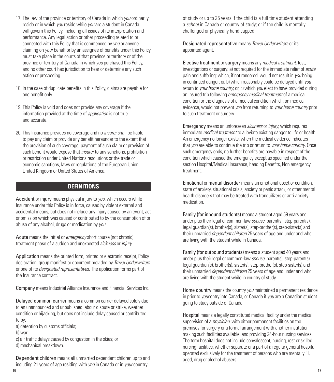- <span id="page-8-0"></span>17. The law of the province or territory of Canada in which *you* ordinarily reside or in which *you* reside while *you* are a student in Canada will govern this Policy, including all issues of its interpretation and performance. Any legal action or other proceeding related to or connected with this Policy that is commenced by *you* or anyone claiming on *your* behalf or by an assignee of benefits under this Policy must take place in the courts of that province or territory or of the province or territory of Canada in which *you* purchased this Policy, and no other court has jurisdiction to hear or determine any such action or proceeding.
- 18. In the case of duplicate benefits in this Policy, claims are payable for one benefit only.
- 19. This Policy is void and does not provide any coverage if the information provided at the time of *application* is not true and accurate.
- 20. This Insurance provides no coverage and no *insurer* shall be liable to pay any claim or provide any benefit hereunder to the extent that the provision of such coverage, payment of such claim or provision of such benefit would expose that *insurer* to any sanctions, prohibition or restriction under United Nations resolutions or the trade or economic sanctions, laws or regulations of the European Union, United Kingdom or United States of America.

# **DEFINITIONS**

Accident or injury means physical injury to *you*, which occurs while Insurance under this Policy is in force, caused by violent external and accidental means, but does not include any injury caused by an event, act or omission which was caused or contributed to by the consumption of or abuse of any alcohol, drugs or medication by *you*.

Acute means the initial or *emergency* short course (not chronic) treatment phase of a sudden and unexpected *sickness* or *injury*.

Application means the printed form, printed or electronic receipt, Policy declaration, group manifest or document provided by *Travel Underwriters* or one of its *designated representative*s. The application forms part of the Insurance contract.

Company means Industrial Alliance Insurance and Financial Services Inc.

Delayed common carrier means a common carrier delayed solely due to an unannounced and unpublished labour dispute or strike, weather condition or hijacking, but does not include delay caused or contributed to by:

- a) detention by customs officials;
- b) war;

c) air traffic delays caused by congestion in the skies; or d) mechanical breakdown.

Dependent children means all unmarried dependent children up to and including 21 years of age residing with *you* in Canada or in *your* country

of study or up to 25 years if the child is a full time student attending a *school* in Canada or country of study; or if the child is mentally challenged or physically handicapped.

Designated representative means *Travel Underwriters* or its appointed agent.

Elective treatment or surgery means any *medical treatment*, test, investigations or surgery: a) not required for the immediate relief of *acute* pain and suffering; which, if not rendered, would not result in *you* being in continued danger; or, b) which reasonably could be delayed until *you* return to *your home country*; or, c) which *you* elect to have provided during an insured trip following *emergency medical treatment* of a medical condition or the diagnosis of a medical condition which, on medical evidence, would not prevent *you* from returning to *your home country* prior to such treatment or surgery.

Emergency means an unforeseen *sickness* or *injury*, which requires immediate *medical treatment* to alleviate existing danger to life or health. An emergency no longer exists, when the medical evidence indicates that *you* are able to continue the trip or return to *your home country*. Once such emergency ends, no further benefits are payable in respect of the condition which caused the emergency except as specified under the section Hospital/Medical Insurance, heading Benefits, Non emergency treatment.

Emotional or mental disorder means an emotional upset or condition, state of anxiety, situational crisis, anxiety or panic attack, or other mental health disorders that may be treated with tranquilizers or anti-anxiety medication.

Family (for inbound students) means a student aged 59 years and under plus their legal or common-law *spouse*, parent(s), step-parent(s), legal guardian(s), brother(s), sister(s), step-brother(s), step-sister(s) and their unmarried *dependent children* 25 years of age and under and who are living with the student while in Canada.

Family (for outbound students) means a student aged 40 years and under plus their legal or common-law *spouse*, parent(s), step-parent(s), legal guardian(s), brother(s), sister(s), step-brother(s), step-sister(s) and their unmarried *dependent children* 25 years of age and under and who are living with the student while in country of study.

Home country means the country *you* maintained a permanent residence in prior to *your* entry into Canada, or Canada if *you* are a Canadian student going to study outside of Canada.

Hospital means a legally constituted medical facility under the medical supervision of a *physician*, with either permanent facilities on the premises for surgery or a formal arrangement with another institution making such facilities available, and providing 24-hour nursing services. The term hospital does not include convalescent, nursing, rest or skilled nursing facilities, whether separate or a part of a regular general hospital, operated exclusively for the treatment of persons who are mentally ill, aged, drug or alcohol abusers.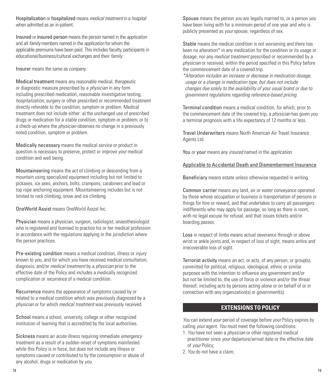<span id="page-9-0"></span>Hospitalization or hospitalized means *medical treatment* in a *hospital* when admitted as an in-patient.

Insured or insured person means the person named in the *application* and all *family* members named in the *application* for whom the applicable premiums have been paid. This includes faculty, participants in educational/business/cultural exchanges and their *family*.

Insurer means the same as *company*.

Medical treatment means any reasonable medical, therapeutic or diagnostic measure prescribed by a *physician* in any form including prescribed medication, reasonable investigative testing, *hospitalization*, surgery or other prescribed or recommended treatment directly referable to the condition, symptom or problem. Medical treatment does not include either: a) the unchanged use of prescribed drugs or medication for a *stable* condition, symptom or problem; or b) a check-up where the *physician* observes no change in a previously noted condition, symptom or problem.

Medically necessary means the medical service or product in question is necessary to preserve, protect or improve *your* medical condition and well being.

Mountaineering means the act of climbing or descending from a mountain using specialized equipment including but not limited to pickaxes, ice axes, anchors, bolts, crampons, carabiners and lead or top rope anchoring equipment. Mountaineering includes but is not limited to rock climbing, snow and ice climbing.

OneWorld Assist means OneWorld Assist Inc.

Physician means a physician, surgeon, radiologist, anaesthesiologist who is registered and licensed to practice his or her medical profession in accordance with the regulations applying in the jurisdiction where the person practices.

Pre-existing condition means a medical condition, illness or *injury* known to *you*, and for which *you* have received medical consultation, diagnosis, and/or *medical treatment* by a *physician* prior to the effective date of the Policy and includes a medically recognized complication or *recurrence* of a medical condition.

Recurrence means the appearance of symptoms caused by or related to a medical condition which was previously diagnosed by a *physician* or for which *medical treatment* was previously received.

School means a school, university, college or other recognized institution of learning that is accredited by the local authorities.

Sickness means an *acute* illness requiring immediate *emergency* treatment as a result of a sudden onset of symptoms manifested while this Policy is in force, but does not include any illness or symptoms caused or contributed to by the consumption or abuse of any alcohol, drugs or medication by *you*.

Spouse means the person *you* are legally married to, or a person *you* have been living with for a minimum period of one year and who is publicly presented as *your* spouse, regardless of sex.

Stable means the medical condition is not worsening and there has been no alteration\* in any medication for the condition or its usage or dosage, nor any *medical treatment* prescribed or recommended by a *physician* or received, within the period specified in this Policy before the commencement date of a covered trip.

*\*Alteration includes an increase or decrease in medication dosage, usage or a change in medication type, but does not include changes due solely to the availability of your usual brand or due to government regulations regarding reference-based pricing.*

Terminal condition means a medical condition, for which, prior to the commencement date of the covered trip, a *physician* has given *you* a terminal prognosis with a life expectancy of 12 months or less.

Travel Underwriters means North American Air Travel Insurance Agents Ltd.

You or your means any *insured* named in the *application*.

# Applicable to Accidental Death and Dismemberment Insurance

Beneficiary means estate unless otherwise requested in writing.

Common carrier means any land, air or water conveyance operated by those whose occupation or business is transportation of persons or things for hire or reward, and that undertakes to carry all passengers indifferently who may apply for passage, so long as there is room, with no legal excuse for refusal, and that issues tickets and/or boarding passes.

Loss in respect of limbs means actual severance through or above wrist or ankle joints and, in respect of loss of sight, means entire and irrecoverable loss of sight.

Terrorist activity means an act, or acts, of any person, or group(s), committed for political, religious, ideological, ethnic or similar purposes with the intention to influence any government and/or but not be limited to, the use of force or violence and/or the threat thereof, including acts by persons acting alone or on behalf of or in connection with any organization(s) or government(s).

# **EXTENSIONS TO POLICY**

*You* can extend *your* period of coverage before *your* Policy expires by calling *your* agent. *You* must meet the following conditions:

- 1. *You* have not seen a *physician* or other registered medical practitioner since *your* departure/arrival date or the effective date of *your* Policy;
- 2. *You* do not have a claim;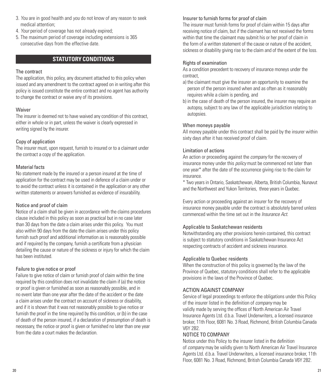- <span id="page-10-0"></span>3. *You* are in good health and *you* do not know of any reason to seek medical attention;
- 4. *Your* period of coverage has not already expired;
- 5. The maximum period of coverage including extensions is 365 consecutive days from the effective date.

# **STATUTORY CONDITIONS**

#### The contract

The application, this policy, any document attached to this policy when issued and any amendment to the contract agreed on in writing after this policy is issued constitute the entire contract and no agent has authority to change the contract or waive any of its provisions.

#### Waiver

The insurer is deemed not to have waived any condition of this contract, either in whole or in part, unless the waiver is clearly expressed in writing signed by the insurer.

#### Copy of application

The insurer must, upon request, furnish to insured or to a claimant under the contract a copy of the application.

#### Material facts

No statement made by the insured or a person insured at the time of application for the contract may be used in defence of a claim under or to avoid the contract unless it is contained in the application or any other written statements or answers furnished as evidence of insurability.

#### Notice and proof of claim

Notice of a claim shall be given in accordance with the claims procedures clause included in this policy as soon as practical but in no case later than 30 days from the date a claim arises under this policy. You must also within 90 days from the date the claim arises under this policy furnish such proof and additional information as is reasonably possible and if required by the company, furnish a certificate from a physician detailing the cause or nature of the sickness or injury for which the claim has been instituted.

#### Failure to give notice or proof

Failure to give notice of claim or furnish proof of claim within the time required by this condition does not invalidate the claim if (a) the notice or proof is given or furnished as soon as reasonably possible, and in no event later than one year after the date of the accident or the date a claim arises under the contract on account of sickness or disability, and if it is shown that it was not reasonably possible to give notice or furnish the proof in the time required by this condition, or (b) in the case of death of the person insured, if a declaration of presumption of death is necessary, the notice or proof is given or furnished no later than one year from the date a court makes the declaration.

#### Insurer to furnish forms for proof of claim

The insurer must furnish forms for proof of claim within 15 days after receiving notice of claim, but if the claimant has not received the forms within that time the claimant may submit his or her proof of claim in the form of a written statement of the cause or nature of the accident, sickness or disability giving rise to the claim and of the extent of the loss.

#### Rights of examination

As a condition precedent to recovery of insurance moneys under the contract,

- a) the claimant must give the insurer an opportunity to examine the person of the person insured when and as often as it reasonably requires while a claim is pending, and
- b) in the case of death of the person insured, the insurer may require an autopsy, subject to any law of the applicable jurisdiction relating to autopsies.

#### When moneys payable

All money payable under this contract shall be paid by the insurer within sixty days after it has received proof of claim.

#### Limitation of actions

An action or proceeding against the *company* for the recovery of insurance money under this *policy* must be commenced not later than one year\* after the date of the occurrence giving rise to the claim for insurance.

\* Two years in Ontario, Saskatchewan, Alberta, British Columbia, Nunavut and the Northwest and Yukon Territories, three years in Quebec.

Every action or proceeding against an insurer for the recovery of insurance money payable under the contract is absolutely barred unless commenced within the time set out in the *Insurance Act*.

#### Applicable to Saskatchewan residents

Notwithstanding any other provisions herein contained, this contract is subject to statutory conditions in Saskatchewan Insurance Act respecting contracts of accident and sickness insurance.

#### Applicable to Quebec residents

When the construction of this policy is governed by the law of the Province of Quebec, statutory conditions shall refer to the applicable provisions in the laws of the Province of Quebec.

#### ACTION AGAINST COMPANY

Service of legal proceedings to enforce the obligations under this Policy of the insurer listed in the definition of *company* may be validly made by serving the offices of North American Air Travel Insurance Agents Ltd. d.b.a. Travel Underwriters, a licensed insurance broker, 11th Floor, 6081 No. 3 Road, Richmond, British Columbia Canada V6Y 2B2.

#### NOTICE TO COMPANY

Notice under this Policy to the insurer listed in the definition of *company* may be validly given to North American Air Travel Insurance Agents Ltd. d.b.a. Travel Underwriters, a licensed insurance broker, 11th Floor, 6081 No. 3 Road, Richmond, British Columbia Canada V6Y 2B2.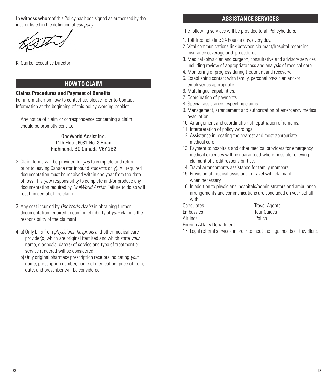<span id="page-11-0"></span>In witness whereof this Policy has been signed as authorized by the insurer listed in the definition of *company*.

The

K. Starko, Executive Director

# **HOW TO CLAIM**

#### **Claims Procedures and Payment of Benefits**

For information on how to contact us, please refer to Contact Information at the beginning of this policy wording booklet.

1. Any notice of claim or correspondence concerning a claim should be promptly sent to:

> OneWorld Assist Inc. 11th Floor, 6081 No. 3 Road Richmond, BC Canada V6Y 2B2

- 2. Claim forms will be provided for *you* to complete and return prior to leaving Canada (for inbound students only). All required documentation must be received within one year from the date of loss. It is *your* responsibility to complete and/or produce any documentation required by *OneWorld Assist*. Failure to do so will result in denial of the claim.
- 3. Any cost incurred by *OneWorld Assist* in obtaining further documentation required to confirm eligibility of *your* claim is the responsibility of the claimant.
- 4. a) Only bills from *physicians*, *hospitals* and other medical care provider(s) which are original itemized and which state *your* name, diagnosis, date(s) of service and type of treatment or service rendered will be considered.
	- b) Only original pharmacy prescription receipts indicating *your* name, prescription number, name of medication, price of item, date, and prescriber will be considered.

#### **ASSISTANCE SERVICES**

The following services will be provided to all Policyholders:

- 1. Toll-free help line 24 hours a day, every day.
- 2. Vital communications link between claimant/hospital regarding insurance coverage and procedures.
- 3. Medical (physician and surgeon) consultative and advisory services including review of appropriateness and analysis of medical care.
- 4. Monitoring of progress during treatment and recovery.
- 5. Establishing contact with family, personal physician and/or employer as appropriate.
- 6. Multilingual capabilities.
- 7. Coordination of payments.
- 8. Special assistance respecting claims.
- 9. Management, arrangement and authorization of emergency medical evacuation.
- 10. Arrangement and coordination of repatriation of remains.
- 11. Interpretation of policy wordings.
- 12. Assistance in locating the nearest and most appropriate medical care.
- 13. Payment to hospitals and other medical providers for emergency medical expenses will be guaranteed where possible relieving claimant of credit responsibilities.
- 14. Travel arrangements assistance for family members.
- 15. Provision of medical assistant to travel with claimant when necessary.
- 16. In addition to physicians, hospitals/administrators and ambulance, arrangements and communications are concluded on your behalf with:
- Consulates Travel Agents Embassies Tour Guides Airlines Police

Foreign Affairs Department

17. Legal referral services in order to meet the legal needs of travellers.